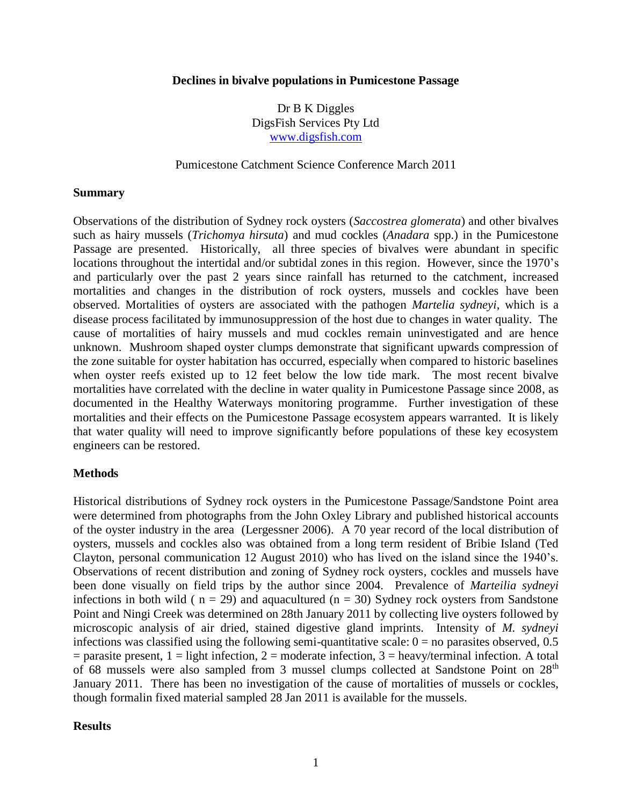#### **Declines in bivalve populations in Pumicestone Passage**

Dr B K Diggles DigsFish Services Pty Ltd [www.digsfish.com](http://www.digsfish.com/)

### Pumicestone Catchment Science Conference March 2011

### **Summary**

Observations of the distribution of Sydney rock oysters (*Saccostrea glomerata*) and other bivalves such as hairy mussels (*Trichomya hirsuta*) and mud cockles (*Anadara* spp.) in the Pumicestone Passage are presented. Historically, all three species of bivalves were abundant in specific locations throughout the intertidal and/or subtidal zones in this region. However, since the 1970's and particularly over the past 2 years since rainfall has returned to the catchment, increased mortalities and changes in the distribution of rock oysters, mussels and cockles have been observed. Mortalities of oysters are associated with the pathogen *Martelia sydneyi*, which is a disease process facilitated by immunosuppression of the host due to changes in water quality. The cause of mortalities of hairy mussels and mud cockles remain uninvestigated and are hence unknown. Mushroom shaped oyster clumps demonstrate that significant upwards compression of the zone suitable for oyster habitation has occurred, especially when compared to historic baselines when oyster reefs existed up to 12 feet below the low tide mark. The most recent bivalve mortalities have correlated with the decline in water quality in Pumicestone Passage since 2008, as documented in the Healthy Waterways monitoring programme. Further investigation of these mortalities and their effects on the Pumicestone Passage ecosystem appears warranted. It is likely that water quality will need to improve significantly before populations of these key ecosystem engineers can be restored.

### **Methods**

Historical distributions of Sydney rock oysters in the Pumicestone Passage/Sandstone Point area were determined from photographs from the John Oxley Library and published historical accounts of the oyster industry in the area (Lergessner 2006). A 70 year record of the local distribution of oysters, mussels and cockles also was obtained from a long term resident of Bribie Island (Ted Clayton, personal communication 12 August 2010) who has lived on the island since the 1940's. Observations of recent distribution and zoning of Sydney rock oysters, cockles and mussels have been done visually on field trips by the author since 2004. Prevalence of *Marteilia sydneyi* infections in both wild ( $n = 29$ ) and aquacultured ( $n = 30$ ) Sydney rock oysters from Sandstone Point and Ningi Creek was determined on 28th January 2011 by collecting live oysters followed by microscopic analysis of air dried, stained digestive gland imprints. Intensity of *M. sydneyi* infections was classified using the following semi-quantitative scale:  $0 =$  no parasites observed, 0.5  $=$  parasite present, 1 = light infection, 2 = moderate infection, 3 = heavy/terminal infection. A total of 68 mussels were also sampled from 3 mussel clumps collected at Sandstone Point on 28<sup>th</sup> January 2011. There has been no investigation of the cause of mortalities of mussels or cockles, though formalin fixed material sampled 28 Jan 2011 is available for the mussels.

### **Results**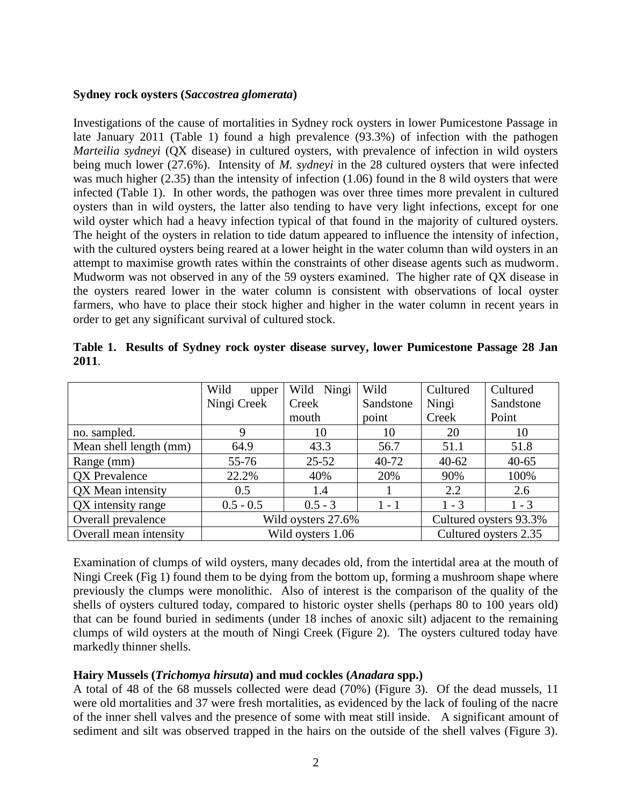### **Sydney rock oysters (***Saccostrea glomerata***)**

Investigations of the cause of mortalities in Sydney rock oysters in lower Pumicestone Passage in late January 2011 (Table 1) found a high prevalence (93.3%) of infection with the pathogen *Marteilia sydneyi* (QX disease) in cultured oysters, with prevalence of infection in wild oysters being much lower (27.6%). Intensity of *M. sydneyi* in the 28 cultured oysters that were infected was much higher (2.35) than the intensity of infection (1.06) found in the 8 wild oysters that were infected (Table 1). In other words, the pathogen was over three times more prevalent in cultured oysters than in wild oysters, the latter also tending to have very light infections, except for one wild oyster which had a heavy infection typical of that found in the majority of cultured oysters. The height of the oysters in relation to tide datum appeared to influence the intensity of infection, with the cultured oysters being reared at a lower height in the water column than wild oysters in an attempt to maximise growth rates within the constraints of other disease agents such as mudworm. Mudworm was not observed in any of the 59 oysters examined. The higher rate of QX disease in the oysters reared lower in the water column is consistent with observations of local oyster farmers, who have to place their stock higher and higher in the water column in recent years in order to get any significant survival of cultured stock.

|                        | Wild<br>upper     | Wild Ningi         | Wild                   | Cultured              | Cultured  |  |
|------------------------|-------------------|--------------------|------------------------|-----------------------|-----------|--|
|                        | Ningi Creek       | Creek              | Sandstone              | Ningi                 | Sandstone |  |
|                        |                   | mouth              | point                  | Creek                 | Point     |  |
| no. sampled.           | 9                 | 10                 | 10                     | 20                    | 10        |  |
| Mean shell length (mm) | 64.9              | 43.3               | 56.7                   | 51.1                  | 51.8      |  |
| Range (mm)             | 55-76             | $25 - 52$          | 40-72                  | $40 - 62$             | $40 - 65$ |  |
| <b>QX</b> Prevalence   | 22.2%             | 40%                | 20%                    | 90%                   | 100%      |  |
| QX Mean intensity      | 0.5               | 1.4                |                        | 2.2                   | 2.6       |  |
| QX intensity range     | $0.5 - 0.5$       | $0.5 - 3$          | $1 - 1$                | $1 - 3$               | $1 - 3$   |  |
| Overall prevalence     |                   | Wild oysters 27.6% | Cultured oysters 93.3% |                       |           |  |
| Overall mean intensity | Wild oysters 1.06 |                    |                        | Cultured oysters 2.35 |           |  |

|      | Table 1. Results of Sydney rock oyster disease survey, lower Pumicestone Passage 28 Jan |  |  |  |
|------|-----------------------------------------------------------------------------------------|--|--|--|
| 2011 |                                                                                         |  |  |  |

Examination of clumps of wild oysters, many decades old, from the intertidal area at the mouth of Ningi Creek (Fig 1) found them to be dying from the bottom up, forming a mushroom shape where previously the clumps were monolithic. Also of interest is the comparison of the quality of the shells of oysters cultured today, compared to historic oyster shells (perhaps 80 to 100 years old) that can be found buried in sediments (under 18 inches of anoxic silt) adjacent to the remaining clumps of wild oysters at the mouth of Ningi Creek (Figure 2). The oysters cultured today have markedly thinner shells.

# **Hairy Mussels (***Trichomya hirsuta***) and mud cockles (***Anadara* **spp.)**

A total of 48 of the 68 mussels collected were dead (70%) (Figure 3). Of the dead mussels, 11 were old mortalities and 37 were fresh mortalities, as evidenced by the lack of fouling of the nacre of the inner shell valves and the presence of some with meat still inside. A significant amount of sediment and silt was observed trapped in the hairs on the outside of the shell valves (Figure 3).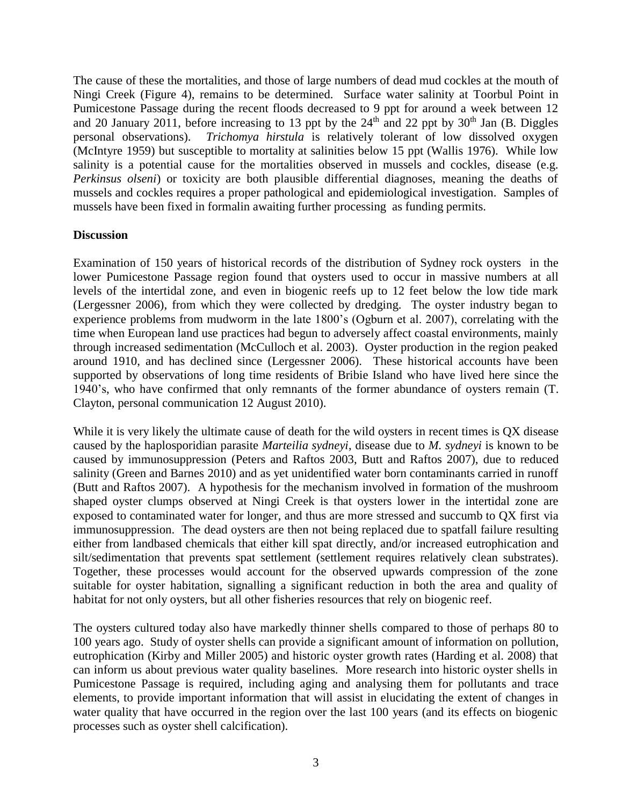The cause of these the mortalities, and those of large numbers of dead mud cockles at the mouth of Ningi Creek (Figure 4), remains to be determined. Surface water salinity at Toorbul Point in Pumicestone Passage during the recent floods decreased to 9 ppt for around a week between 12 and 20 January 2011, before increasing to 13 ppt by the 24<sup>th</sup> and 22 ppt by 30<sup>th</sup> Jan (B. Diggles personal observations). *Trichomya hirstula* is relatively tolerant of low dissolved oxygen (McIntyre 1959) but susceptible to mortality at salinities below 15 ppt (Wallis 1976). While low salinity is a potential cause for the mortalities observed in mussels and cockles, disease (e.g. *Perkinsus olseni*) or toxicity are both plausible differential diagnoses, meaning the deaths of mussels and cockles requires a proper pathological and epidemiological investigation. Samples of mussels have been fixed in formalin awaiting further processing as funding permits.

# **Discussion**

Examination of 150 years of historical records of the distribution of Sydney rock oysters in the lower Pumicestone Passage region found that oysters used to occur in massive numbers at all levels of the intertidal zone, and even in biogenic reefs up to 12 feet below the low tide mark (Lergessner 2006), from which they were collected by dredging. The oyster industry began to experience problems from mudworm in the late 1800's (Ogburn et al. 2007), correlating with the time when European land use practices had begun to adversely affect coastal environments, mainly through increased sedimentation (McCulloch et al. 2003). Oyster production in the region peaked around 1910, and has declined since (Lergessner 2006). These historical accounts have been supported by observations of long time residents of Bribie Island who have lived here since the 1940's, who have confirmed that only remnants of the former abundance of oysters remain (T. Clayton, personal communication 12 August 2010).

While it is very likely the ultimate cause of death for the wild oysters in recent times is QX disease caused by the haplosporidian parasite *Marteilia sydneyi*, disease due to *M. sydneyi* is known to be caused by immunosuppression (Peters and Raftos 2003, Butt and Raftos 2007), due to reduced salinity (Green and Barnes 2010) and as yet unidentified water born contaminants carried in runoff (Butt and Raftos 2007). A hypothesis for the mechanism involved in formation of the mushroom shaped oyster clumps observed at Ningi Creek is that oysters lower in the intertidal zone are exposed to contaminated water for longer, and thus are more stressed and succumb to QX first via immunosuppression. The dead oysters are then not being replaced due to spatfall failure resulting either from landbased chemicals that either kill spat directly, and/or increased eutrophication and silt/sedimentation that prevents spat settlement (settlement requires relatively clean substrates). Together, these processes would account for the observed upwards compression of the zone suitable for oyster habitation, signalling a significant reduction in both the area and quality of habitat for not only oysters, but all other fisheries resources that rely on biogenic reef.

The oysters cultured today also have markedly thinner shells compared to those of perhaps 80 to 100 years ago. Study of oyster shells can provide a significant amount of information on pollution, eutrophication (Kirby and Miller 2005) and historic oyster growth rates (Harding et al. 2008) that can inform us about previous water quality baselines. More research into historic oyster shells in Pumicestone Passage is required, including aging and analysing them for pollutants and trace elements, to provide important information that will assist in elucidating the extent of changes in water quality that have occurred in the region over the last 100 years (and its effects on biogenic processes such as oyster shell calcification).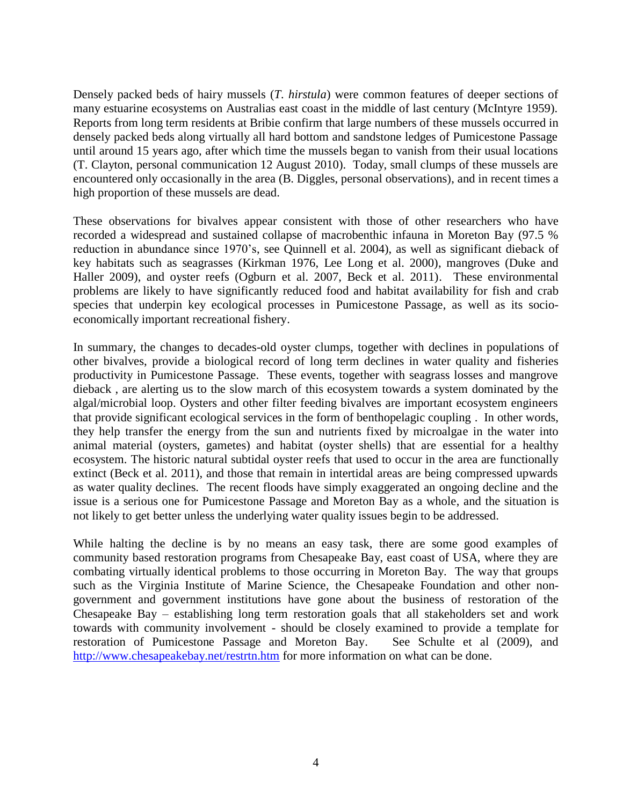Densely packed beds of hairy mussels (*T. hirstula*) were common features of deeper sections of many estuarine ecosystems on Australias east coast in the middle of last century (McIntyre 1959). Reports from long term residents at Bribie confirm that large numbers of these mussels occurred in densely packed beds along virtually all hard bottom and sandstone ledges of Pumicestone Passage until around 15 years ago, after which time the mussels began to vanish from their usual locations (T. Clayton, personal communication 12 August 2010). Today, small clumps of these mussels are encountered only occasionally in the area (B. Diggles, personal observations), and in recent times a high proportion of these mussels are dead.

These observations for bivalves appear consistent with those of other researchers who have recorded a widespread and sustained collapse of macrobenthic infauna in Moreton Bay (97.5 % reduction in abundance since 1970's, see Quinnell et al. 2004), as well as significant dieback of key habitats such as seagrasses (Kirkman 1976, Lee Long et al. 2000), mangroves (Duke and Haller 2009), and oyster reefs (Ogburn et al. 2007, Beck et al. 2011). These environmental problems are likely to have significantly reduced food and habitat availability for fish and crab species that underpin key ecological processes in Pumicestone Passage, as well as its socioeconomically important recreational fishery.

In summary, the changes to decades-old oyster clumps, together with declines in populations of other bivalves, provide a biological record of long term declines in water quality and fisheries productivity in Pumicestone Passage. These events, together with seagrass losses and mangrove dieback , are alerting us to the slow march of this ecosystem towards a system dominated by the algal/microbial loop. Oysters and other filter feeding bivalves are important ecosystem engineers that provide significant ecological services in the form of benthopelagic coupling . In other words, they help transfer the energy from the sun and nutrients fixed by microalgae in the water into animal material (oysters, gametes) and habitat (oyster shells) that are essential for a healthy ecosystem. The historic natural subtidal oyster reefs that used to occur in the area are functionally extinct (Beck et al. 2011), and those that remain in intertidal areas are being compressed upwards as water quality declines. The recent floods have simply exaggerated an ongoing decline and the issue is a serious one for Pumicestone Passage and Moreton Bay as a whole, and the situation is not likely to get better unless the underlying water quality issues begin to be addressed.

While halting the decline is by no means an easy task, there are some good examples of community based restoration programs from Chesapeake Bay, east coast of USA, where they are combating virtually identical problems to those occurring in Moreton Bay. The way that groups such as the Virginia Institute of Marine Science, the Chesapeake Foundation and other nongovernment and government institutions have gone about the business of restoration of the Chesapeake Bay – establishing long term restoration goals that all stakeholders set and work towards with community involvement - should be closely examined to provide a template for restoration of Pumicestone Passage and Moreton Bay. See Schulte et al (2009), and <http://www.chesapeakebay.net/restrtn.htm> for more information on what can be done.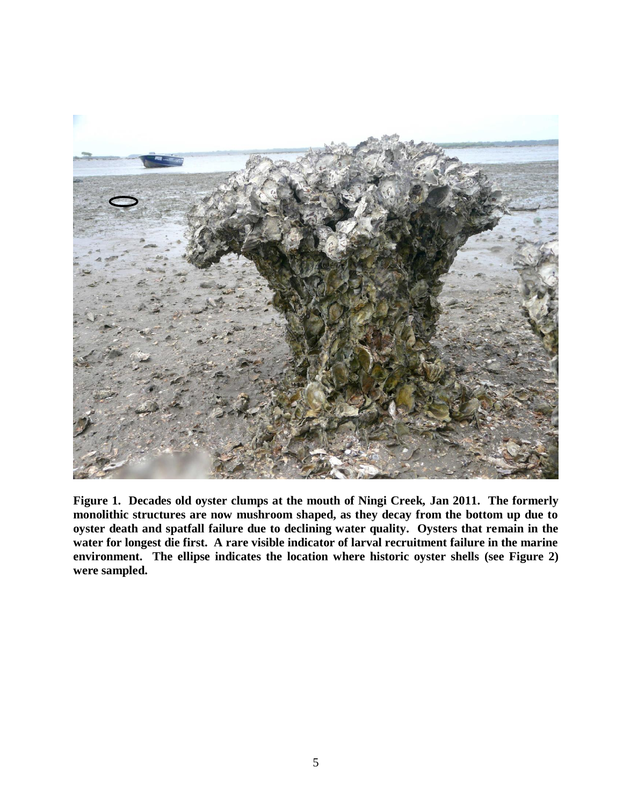

**Figure 1. Decades old oyster clumps at the mouth of Ningi Creek, Jan 2011. The formerly monolithic structures are now mushroom shaped, as they decay from the bottom up due to oyster death and spatfall failure due to declining water quality. Oysters that remain in the water for longest die first. A rare visible indicator of larval recruitment failure in the marine environment. The ellipse indicates the location where historic oyster shells (see Figure 2) were sampled.**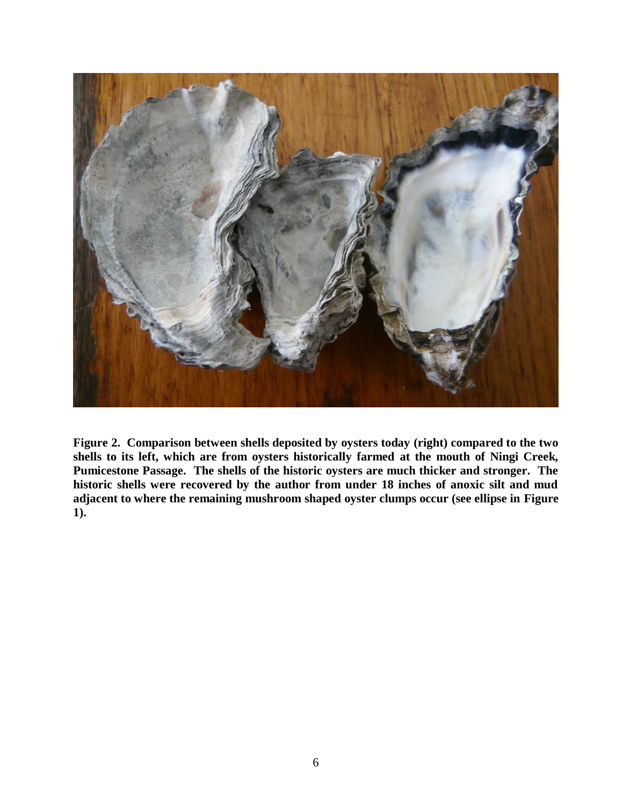

**Figure 2. Comparison between shells deposited by oysters today (right) compared to the two shells to its left, which are from oysters historically farmed at the mouth of Ningi Creek, Pumicestone Passage. The shells of the historic oysters are much thicker and stronger. The historic shells were recovered by the author from under 18 inches of anoxic silt and mud adjacent to where the remaining mushroom shaped oyster clumps occur (see ellipse in Figure 1).**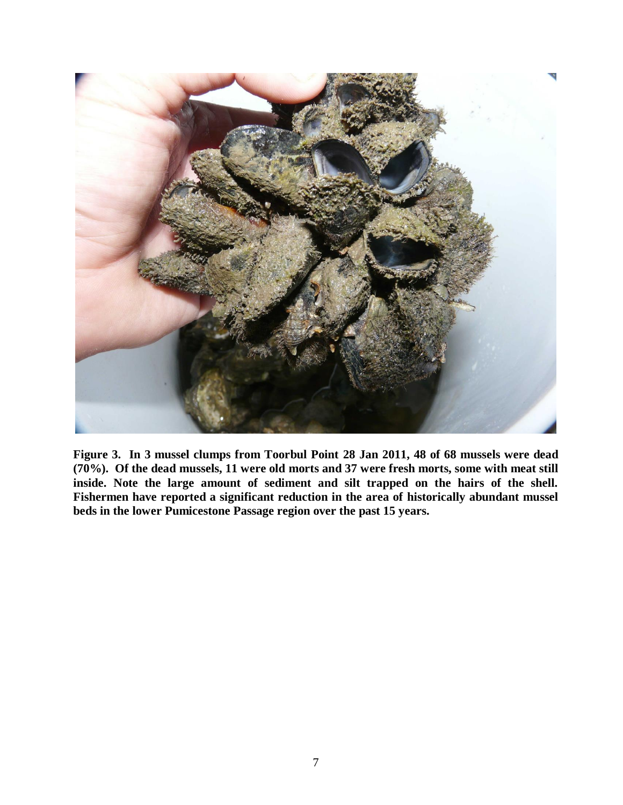

**Figure 3. In 3 mussel clumps from Toorbul Point 28 Jan 2011, 48 of 68 mussels were dead (70%). Of the dead mussels, 11 were old morts and 37 were fresh morts, some with meat still inside. Note the large amount of sediment and silt trapped on the hairs of the shell. Fishermen have reported a significant reduction in the area of historically abundant mussel beds in the lower Pumicestone Passage region over the past 15 years.**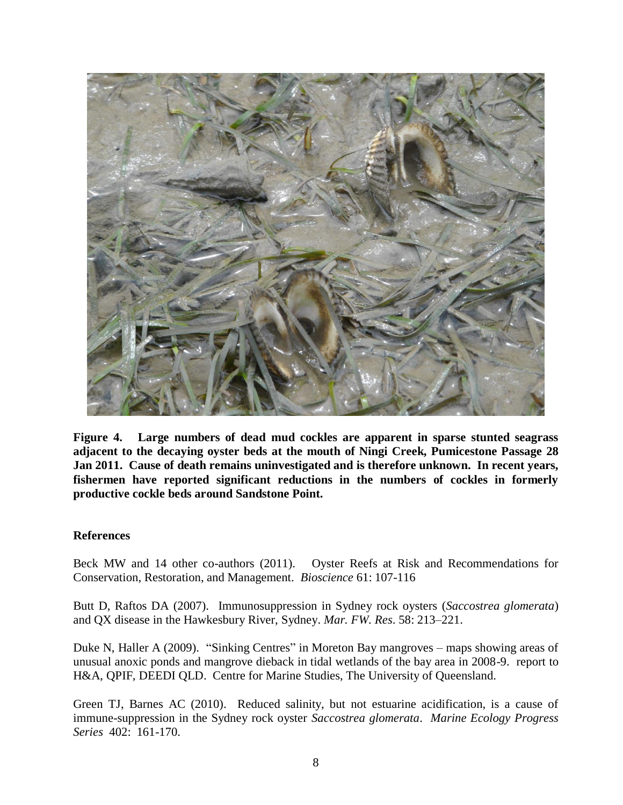

**Figure 4. Large numbers of dead mud cockles are apparent in sparse stunted seagrass adjacent to the decaying oyster beds at the mouth of Ningi Creek, Pumicestone Passage 28 Jan 2011. Cause of death remains uninvestigated and is therefore unknown. In recent years, fishermen have reported significant reductions in the numbers of cockles in formerly productive cockle beds around Sandstone Point.** 

# **References**

Beck MW and 14 other co-authors (2011). Oyster Reefs at Risk and Recommendations for Conservation, Restoration, and Management. *Bioscience* 61: 107-116

Butt D, Raftos DA (2007). Immunosuppression in Sydney rock oysters (*Saccostrea glomerata*) and QX disease in the Hawkesbury River, Sydney. *Mar. FW. Res*. 58: 213–221.

Duke N, Haller A (2009). "Sinking Centres" in Moreton Bay mangroves – maps showing areas of unusual anoxic ponds and mangrove dieback in tidal wetlands of the bay area in 2008-9. report to H&A, QPIF, DEEDI QLD. Centre for Marine Studies, The University of Queensland.

Green TJ, Barnes AC (2010). Reduced salinity, but not estuarine acidification, is a cause of immune-suppression in the Sydney rock oyster *Saccostrea glomerata*. *Marine Ecology Progress Series* 402: 161-170.